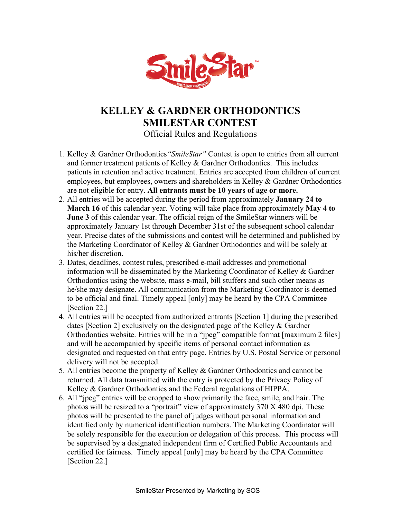

## **KELLEY & GARDNER ORTHODONTICS SMILESTAR CONTEST** Official Rules and Regulations

- 1. Kelley & Gardner Orthodontics*"SmileStar"* Contest is open to entries from all current and former treatment patients of Kelley & Gardner Orthodontics. This includes patients in retention and active treatment. Entries are accepted from children of current employees, but employees, owners and shareholders in Kelley & Gardner Orthodontics are not eligible for entry. **All entrants must be 10 years of age or more.**
- 2. All entries will be accepted during the period from approximately **January 24 to March 16** of this calendar year. Voting will take place from approximately **May 4 to June 3** of this calendar year. The official reign of the SmileStar winners will be approximately January 1st through December 31st of the subsequent school calendar year. Precise dates of the submissions and contest will be determined and published by the Marketing Coordinator of Kelley & Gardner Orthodontics and will be solely at his/her discretion.
- 3. Dates, deadlines, contest rules, prescribed e-mail addresses and promotional information will be disseminated by the Marketing Coordinator of Kelley & Gardner Orthodontics using the website, mass e-mail, bill stuffers and such other means as he/she may designate. All communication from the Marketing Coordinator is deemed to be official and final. Timely appeal [only] may be heard by the CPA Committee [Section 22.]
- 4. All entries will be accepted from authorized entrants [Section 1] during the prescribed dates [Section 2] exclusively on the designated page of the Kelley & Gardner Orthodontics website. Entries will be in a "jpeg" compatible format [maximum 2 files] and will be accompanied by specific items of personal contact information as designated and requested on that entry page. Entries by U.S. Postal Service or personal delivery will not be accepted.
- 5. All entries become the property of Kelley & Gardner Orthodontics and cannot be returned. All data transmitted with the entry is protected by the Privacy Policy of Kelley & Gardner Orthodontics and the Federal regulations of HIPPA.
- 6. All "jpeg" entries will be cropped to show primarily the face, smile, and hair. The photos will be resized to a "portrait" view of approximately 370 X 480 dpi. These photos will be presented to the panel of judges without personal information and identified only by numerical identification numbers. The Marketing Coordinator will be solely responsible for the execution or delegation of this process. This process will be supervised by a designated independent firm of Certified Public Accountants and certified for fairness. Timely appeal [only] may be heard by the CPA Committee [Section 22.]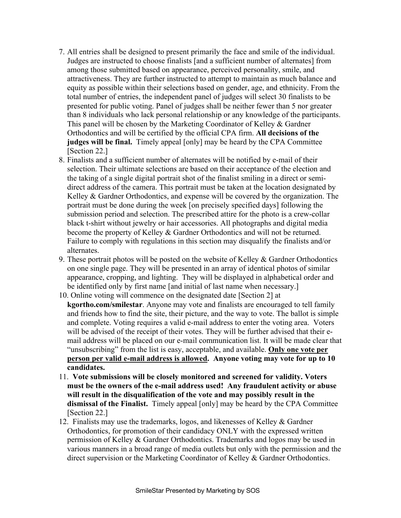- 7. All entries shall be designed to present primarily the face and smile of the individual. Judges are instructed to choose finalists [and a sufficient number of alternates] from among those submitted based on appearance, perceived personality, smile, and attractiveness. They are further instructed to attempt to maintain as much balance and equity as possible within their selections based on gender, age, and ethnicity. From the total number of entries, the independent panel of judges will select 30 finalists to be presented for public voting. Panel of judges shall be neither fewer than 5 nor greater than 8 individuals who lack personal relationship or any knowledge of the participants. This panel will be chosen by the Marketing Coordinator of Kelley & Gardner Orthodontics and will be certified by the official CPA firm. **All decisions of the judges will be final.** Timely appeal [only] may be heard by the CPA Committee [Section 22.]
- 8. Finalists and a sufficient number of alternates will be notified by e-mail of their selection. Their ultimate selections are based on their acceptance of the election and the taking of a single digital portrait shot of the finalist smiling in a direct or semidirect address of the camera. This portrait must be taken at the location designated by Kelley & Gardner Orthodontics, and expense will be covered by the organization. The portrait must be done during the week [on precisely specified days] following the submission period and selection. The prescribed attire for the photo is a crew-collar black t-shirt without jewelry or hair accessories. All photographs and digital media become the property of Kelley & Gardner Orthodontics and will not be returned. Failure to comply with regulations in this section may disqualify the finalists and/or alternates.
- 9. These portrait photos will be posted on the website of Kelley  $\&$  Gardner Orthodontics on one single page. They will be presented in an array of identical photos of similar appearance, cropping, and lighting. They will be displayed in alphabetical order and be identified only by first name [and initial of last name when necessary.]
- 10. Online voting will commence on the designated date [Section 2] at **kgortho.com/smilestar**. Anyone may vote and finalists are encouraged to tell family and friends how to find the site, their picture, and the way to vote. The ballot is simple and complete. Voting requires a valid e-mail address to enter the voting area. Voters will be advised of the receipt of their votes. They will be further advised that their email address will be placed on our e-mail communication list. It will be made clear that "unsubscribing" from the list is easy, acceptable, and available. **Only one vote per person per valid e-mail address is allowed. Anyone voting may vote for up to 10 candidates.**
- 11. **Vote submissions will be closely monitored and screened for validity. Voters must be the owners of the e-mail address used! Any fraudulent activity or abuse will result in the disqualification of the vote and may possibly result in the dismissal of the Finalist.** Timely appeal [only] may be heard by the CPA Committee [Section 22.]
- 12. Finalists may use the trademarks, logos, and likenesses of Kelley & Gardner Orthodontics, for promotion of their candidacy ONLY with the expressed written permission of Kelley & Gardner Orthodontics. Trademarks and logos may be used in various manners in a broad range of media outlets but only with the permission and the direct supervision or the Marketing Coordinator of Kelley & Gardner Orthodontics.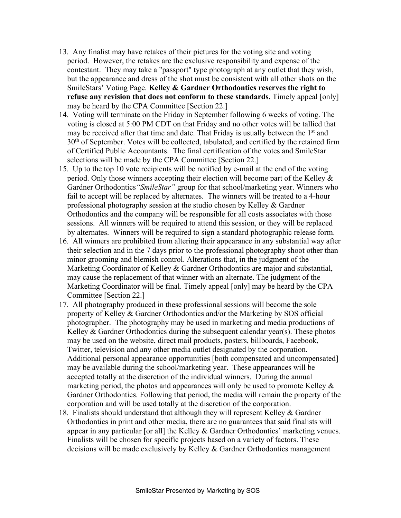- 13. Any finalist may have retakes of their pictures for the voting site and voting period. However, the retakes are the exclusive responsibility and expense of the contestant. They may take a "passport" type photograph at any outlet that they wish, but the appearance and dress of the shot must be consistent with all other shots on the SmileStars' Voting Page. **Kelley & Gardner Orthodontics reserves the right to refuse any revision that does not conform to these standards.** Timely appeal [only] may be heard by the CPA Committee [Section 22.]
- 14. Voting will terminate on the Friday in September following 6 weeks of voting. The voting is closed at 5:00 PM CDT on that Friday and no other votes will be tallied that may be received after that time and date. That Friday is usually between the  $1<sup>st</sup>$  and 30<sup>th</sup> of September. Votes will be collected, tabulated, and certified by the retained firm of Certified Public Accountants. The final certification of the votes and SmileStar selections will be made by the CPA Committee [Section 22.]
- 15. Up to the top 10 vote recipients will be notified by e-mail at the end of the voting period. Only those winners accepting their election will become part of the Kelley & Gardner Orthodontics*"SmileStar"* group for that school/marketing year. Winners who fail to accept will be replaced by alternates. The winners will be treated to a 4-hour professional photography session at the studio chosen by Kelley & Gardner Orthodontics and the company will be responsible for all costs associates with those sessions. All winners will be required to attend this session, or they will be replaced by alternates. Winners will be required to sign a standard photographic release form.
- 16. All winners are prohibited from altering their appearance in any substantial way after their selection and in the 7 days prior to the professional photography shoot other than minor grooming and blemish control. Alterations that, in the judgment of the Marketing Coordinator of Kelley & Gardner Orthodontics are major and substantial, may cause the replacement of that winner with an alternate. The judgment of the Marketing Coordinator will be final. Timely appeal [only] may be heard by the CPA Committee [Section 22.]
- 17. All photography produced in these professional sessions will become the sole property of Kelley & Gardner Orthodontics and/or the Marketing by SOS official photographer. The photography may be used in marketing and media productions of Kelley  $&$  Gardner Orthodontics during the subsequent calendar year(s). These photos may be used on the website, direct mail products, posters, billboards, Facebook, Twitter, television and any other media outlet designated by the corporation. Additional personal appearance opportunities [both compensated and uncompensated] may be available during the school/marketing year. These appearances will be accepted totally at the discretion of the individual winners. During the annual marketing period, the photos and appearances will only be used to promote Kelley & Gardner Orthodontics. Following that period, the media will remain the property of the corporation and will be used totally at the discretion of the corporation.
- 18. Finalists should understand that although they will represent Kelley & Gardner Orthodontics in print and other media, there are no guarantees that said finalists will appear in any particular [or all] the Kelley & Gardner Orthodontics' marketing venues. Finalists will be chosen for specific projects based on a variety of factors. These decisions will be made exclusively by Kelley & Gardner Orthodontics management